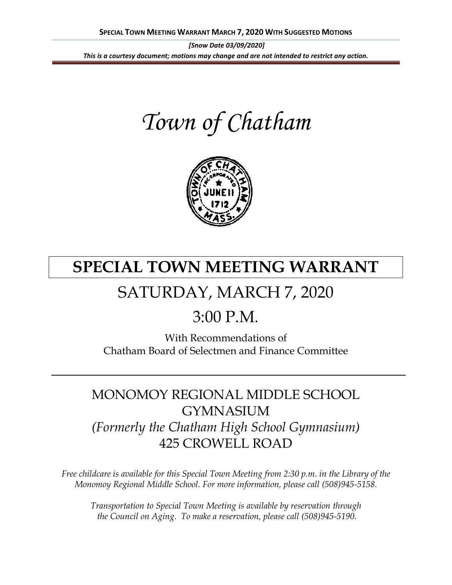*[Snow Date 03/09/2020] This is a courtesy document; motions may change and are not intended to restrict any action.*

*Town of Chatham*



# **SPECIAL TOWN MEETING WARRANT**

## SATURDAY, MARCH 7, 2020

### $3:00 \text{ P M}$

With Recommendations of Chatham Board of Selectmen and Finance Committee

### MONOMOY REGIONAL MIDDLE SCHOOL GYMNASIUM *(Formerly the Chatham High School Gymnasium)* 425 CROWELL ROAD

*Free childcare is available for this Special Town Meeting from 2:30 p.m. in the Library of the Monomoy Regional Middle School. For more information, please call (508)945-5158.*

*Transportation to Special Town Meeting is available by reservation through the Council on Aging. To make a reservation, please call (508)945-5190.*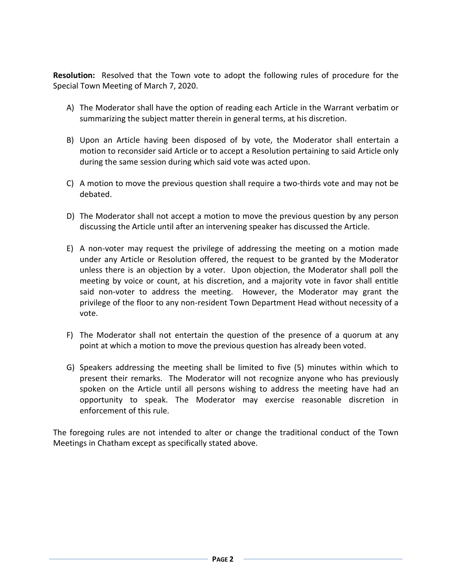**Resolution:** Resolved that the Town vote to adopt the following rules of procedure for the Special Town Meeting of March 7, 2020.

- A) The Moderator shall have the option of reading each Article in the Warrant verbatim or summarizing the subject matter therein in general terms, at his discretion.
- B) Upon an Article having been disposed of by vote, the Moderator shall entertain a motion to reconsider said Article or to accept a Resolution pertaining to said Article only during the same session during which said vote was acted upon.
- C) A motion to move the previous question shall require a two-thirds vote and may not be debated.
- D) The Moderator shall not accept a motion to move the previous question by any person discussing the Article until after an intervening speaker has discussed the Article.
- E) A non-voter may request the privilege of addressing the meeting on a motion made under any Article or Resolution offered, the request to be granted by the Moderator unless there is an objection by a voter. Upon objection, the Moderator shall poll the meeting by voice or count, at his discretion, and a majority vote in favor shall entitle said non-voter to address the meeting. However, the Moderator may grant the privilege of the floor to any non-resident Town Department Head without necessity of a vote.
- F) The Moderator shall not entertain the question of the presence of a quorum at any point at which a motion to move the previous question has already been voted.
- G) Speakers addressing the meeting shall be limited to five (5) minutes within which to present their remarks. The Moderator will not recognize anyone who has previously spoken on the Article until all persons wishing to address the meeting have had an opportunity to speak. The Moderator may exercise reasonable discretion in enforcement of this rule.

The foregoing rules are not intended to alter or change the traditional conduct of the Town Meetings in Chatham except as specifically stated above.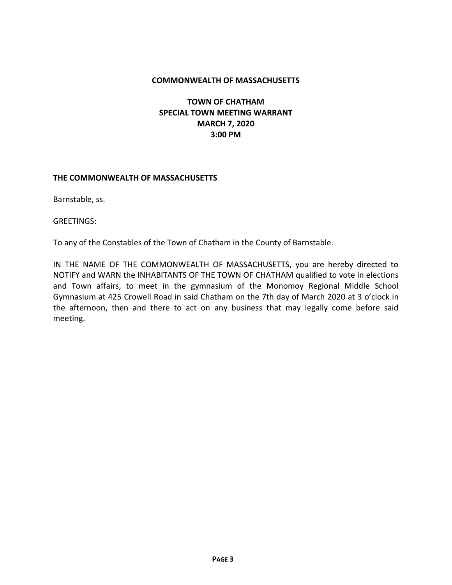#### **COMMONWEALTH OF MASSACHUSETTS**

**TOWN OF CHATHAM SPECIAL TOWN MEETING WARRANT MARCH 7, 2020 3:00 PM**

#### **THE COMMONWEALTH OF MASSACHUSETTS**

Barnstable, ss.

GREETINGS:

To any of the Constables of the Town of Chatham in the County of Barnstable.

IN THE NAME OF THE COMMONWEALTH OF MASSACHUSETTS, you are hereby directed to NOTIFY and WARN the INHABITANTS OF THE TOWN OF CHATHAM qualified to vote in elections and Town affairs, to meet in the gymnasium of the Monomoy Regional Middle School Gymnasium at 425 Crowell Road in said Chatham on the 7th day of March 2020 at 3 o'clock in the afternoon, then and there to act on any business that may legally come before said meeting.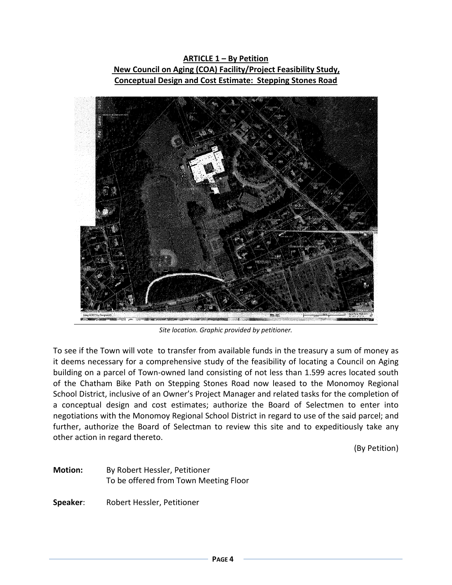**ARTICLE 1 – By Petition New Council on Aging (COA) Facility/Project Feasibility Study, Conceptual Design and Cost Estimate: Stepping Stones Road**



*Site location. Graphic provided by petitioner.*

To see if the Town will vote to transfer from available funds in the treasury a sum of money as it deems necessary for a comprehensive study of the feasibility of locating a Council on Aging building on a parcel of Town-owned land consisting of not less than 1.599 acres located south of the Chatham Bike Path on Stepping Stones Road now leased to the Monomoy Regional School District, inclusive of an Owner's Project Manager and related tasks for the completion of a conceptual design and cost estimates; authorize the Board of Selectmen to enter into negotiations with the Monomoy Regional School District in regard to use of the said parcel; and further, authorize the Board of Selectman to review this site and to expeditiously take any other action in regard thereto.

(By Petition)

**Motion:** By Robert Hessler, Petitioner To be offered from Town Meeting Floor

**Speaker**: Robert Hessler, Petitioner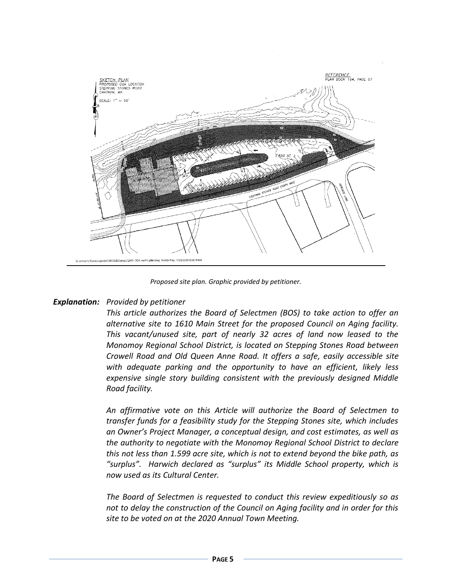

*Proposed site plan. Graphic provided by petitioner.*

#### *Explanation: Provided by petitioner*

*This article authorizes the Board of Selectmen (BOS) to take action to offer an alternative site to 1610 Main Street for the proposed Council on Aging facility. This vacant/unused site, part of nearly 32 acres of land now leased to the Monomoy Regional School District, is located on Stepping Stones Road between Crowell Road and Old Queen Anne Road. It offers a safe, easily accessible site with adequate parking and the opportunity to have an efficient, likely less expensive single story building consistent with the previously designed Middle Road facility.* 

*An affirmative vote on this Article will authorize the Board of Selectmen to transfer funds for a feasibility study for the Stepping Stones site, which includes an Owner's Project Manager, a conceptual design, and cost estimates, as well as the authority to negotiate with the Monomoy Regional School District to declare this not less than 1.599 acre site, which is not to extend beyond the bike path, as "surplus". Harwich declared as "surplus" its Middle School property, which is now used as its Cultural Center.*

*The Board of Selectmen is requested to conduct this review expeditiously so as not to delay the construction of the Council on Aging facility and in order for this site to be voted on at the 2020 Annual Town Meeting.*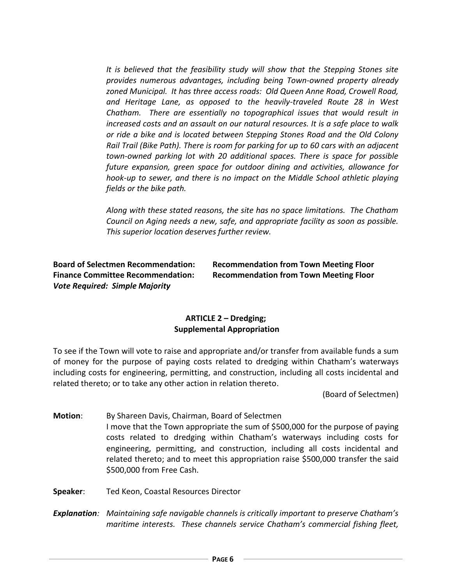*It is believed that the feasibility study will show that the Stepping Stones site provides numerous advantages, including being Town-owned property already zoned Municipal. It has three access roads: Old Queen Anne Road, Crowell Road, and Heritage Lane, as opposed to the heavily-traveled Route 28 in West Chatham. There are essentially no topographical issues that would result in increased costs and an assault on our natural resources. It is a safe place to walk or ride a bike and is located between Stepping Stones Road and the Old Colony Rail Trail (Bike Path). There is room for parking for up to 60 cars with an adjacent town-owned parking lot with 20 additional spaces. There is space for possible future expansion, green space for outdoor dining and activities, allowance for hook-up to sewer, and there is no impact on the Middle School athletic playing fields or the bike path.*

*Along with these stated reasons, the site has no space limitations. The Chatham Council on Aging needs a new, safe, and appropriate facility as soon as possible. This superior location deserves further review.* 

*Vote Required: Simple Majority*

**Board of Selectmen Recommendation: Recommendation from Town Meeting Floor Finance Committee Recommendation: Recommendation from Town Meeting Floor**

#### **ARTICLE 2 – Dredging; Supplemental Appropriation**

To see if the Town will vote to raise and appropriate and/or transfer from available funds a sum of money for the purpose of paying costs related to dredging within Chatham's waterways including costs for engineering, permitting, and construction, including all costs incidental and related thereto; or to take any other action in relation thereto.

(Board of Selectmen)

**Motion**: By Shareen Davis, Chairman, Board of Selectmen I move that the Town appropriate the sum of \$500,000 for the purpose of paying costs related to dredging within Chatham's waterways including costs for engineering, permitting, and construction, including all costs incidental and related thereto; and to meet this appropriation raise \$500,000 transfer the said \$500,000 from Free Cash.

**Speaker**: Ted Keon, Coastal Resources Director

*Explanation: Maintaining safe navigable channels is critically important to preserve Chatham's maritime interests. These channels service Chatham's commercial fishing fleet,*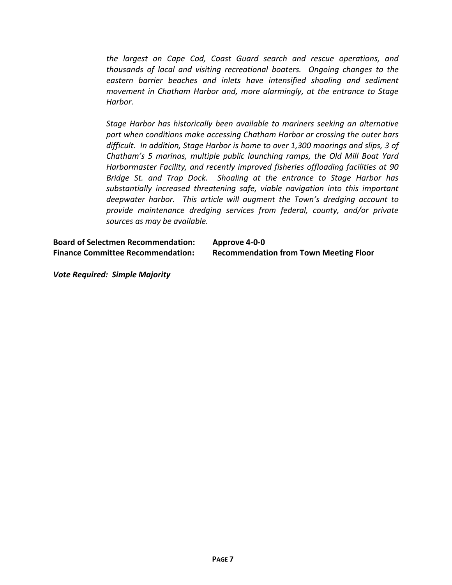*the largest on Cape Cod, Coast Guard search and rescue operations, and thousands of local and visiting recreational boaters. Ongoing changes to the eastern barrier beaches and inlets have intensified shoaling and sediment movement in Chatham Harbor and, more alarmingly, at the entrance to Stage Harbor.*

*Stage Harbor has historically been available to mariners seeking an alternative port when conditions make accessing Chatham Harbor or crossing the outer bars difficult. In addition, Stage Harbor is home to over 1,300 moorings and slips, 3 of Chatham's 5 marinas, multiple public launching ramps, the Old Mill Boat Yard Harbormaster Facility, and recently improved fisheries offloading facilities at 90 Bridge St. and Trap Dock. Shoaling at the entrance to Stage Harbor has substantially increased threatening safe, viable navigation into this important deepwater harbor. This article will augment the Town's dredging account to provide maintenance dredging services from federal, county, and/or private sources as may be available.*

**Board of Selectmen Recommendation: Approve 4-0-0 Finance Committee Recommendation: Recommendation from Town Meeting Floor**

*Vote Required: Simple Majority*